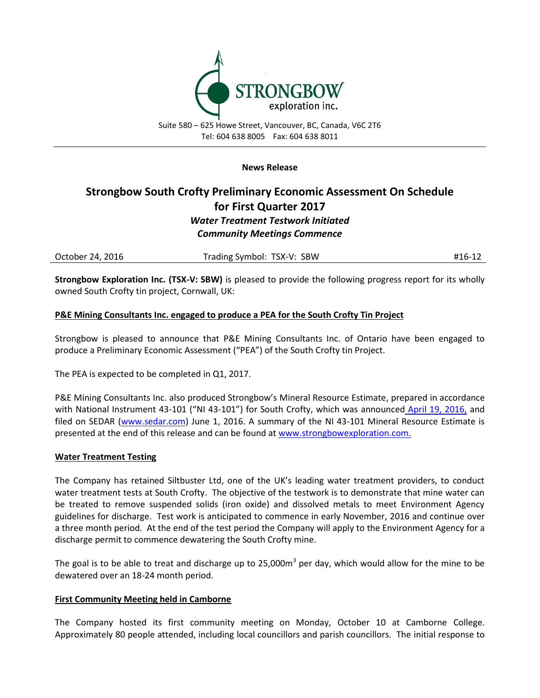

### **News Release**

# **Strongbow South Crofty Preliminary Economic Assessment On Schedule for First Quarter 2017** *Water Treatment Testwork Initiated Community Meetings Commence*

| October 24, 2016 | Trading Symbol: TSX-V: SBW | #16-12 |
|------------------|----------------------------|--------|
|------------------|----------------------------|--------|

**Strongbow Exploration Inc. (TSX-V: SBW)** is pleased to provide the following progress report for its wholly owned South Crofty tin project, Cornwall, UK:

# **P&E Mining Consultants Inc. engaged to produce a PEA for the South Crofty Tin Project**

Strongbow is pleased to announce that P&E Mining Consultants Inc. of Ontario have been engaged to produce a Preliminary Economic Assessment ("PEA") of the South Crofty tin Project.

The PEA is expected to be completed in Q1, 2017.

P&E Mining Consultants Inc. also produced Strongbow's Mineral Resource Estimate, prepared in accordance with National Instrument 43-101 ("NI 43-101") for South Crofty, which was announced [April 19, 2016,](http://www.strongbowexploration.com/s/NewsReleases.asp?ReportID=745787&_Type=News-Releases&_Title=Strongbow-Releases-NI-43-101-Resource-Estimate-for-South-Crofty) and filed on SEDAR [\(www.sedar.com\)](http://www.sedar.com/) June 1, 2016. A summary of the NI 43-101 Mineral Resource Estimate is presented at the end of this release and can be found a[t www.strongbowexploration.com.](http://www.strongbowexploration.com/)

# **Water Treatment Testing**

The Company has retained Siltbuster Ltd, one of the UK's leading water treatment providers, to conduct water treatment tests at South Crofty. The objective of the testwork is to demonstrate that mine water can be treated to remove suspended solids (iron oxide) and dissolved metals to meet Environment Agency guidelines for discharge. Test work is anticipated to commence in early November, 2016 and continue over a three month period. At the end of the test period the Company will apply to the Environment Agency for a discharge permit to commence dewatering the South Crofty mine.

The goal is to be able to treat and discharge up to 25,000m<sup>3</sup> per day, which would allow for the mine to be dewatered over an 18-24 month period.

# **First Community Meeting held in Camborne**

The Company hosted its first community meeting on Monday, October 10 at Camborne College. Approximately 80 people attended, including local councillors and parish councillors. The initial response to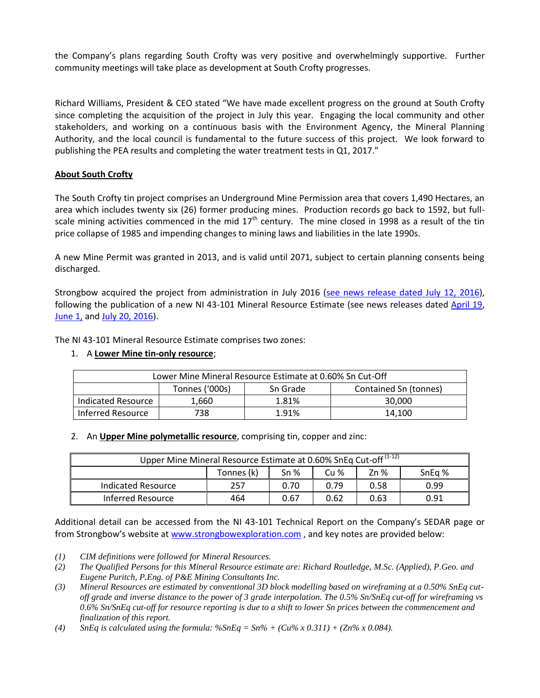the Company's plans regarding South Crofty was very positive and overwhelmingly supportive. Further community meetings will take place as development at South Crofty progresses.

Richard Williams, President & CEO stated "We have made excellent progress on the ground at South Crofty since completing the acquisition of the project in July this year. Engaging the local community and other stakeholders, and working on a continuous basis with the Environment Agency, the Mineral Planning Authority, and the local council is fundamental to the future success of this project. We look forward to publishing the PEA results and completing the water treatment tests in Q1, 2017."

# **About South Crofty**

The South Crofty tin project comprises an Underground Mine Permission area that covers 1,490 Hectares, an area which includes twenty six (26) former producing mines. Production records go back to 1592, but fullscale mining activities commenced in the mid  $17<sup>th</sup>$  century. The mine closed in 1998 as a result of the tin price collapse of 1985 and impending changes to mining laws and liabilities in the late 1990s.

A new Mine Permit was granted in 2013, and is valid until 2071, subject to certain planning consents being discharged.

Strongbow acquired the project from administration in July 2016 [\(see news release dated July 12, 2016\)](http://www.strongbowexploration.com/s/NewsReleases.asp?ReportID=755374&_Type=News-Releases&_Title=Strongbow-Completes-Acquisition-of-South-Crofty-Tin-Project-Cornwall-Uk), following the publication of a new NI 43-101 Mineral Resource Estimate (see news releases dated [April 19,](http://www.strongbowexploration.com/s/NewsReleases.asp?ReportID=745787&_Type=News-Releases&_Title=Strongbow-Releases-NI-43-101-Resource-Estimate-for-South-Crofty) [June 1,](http://www.strongbowexploration.com/s/NewsReleases.asp?ReportID=750936&_Type=News-Releases&_Title=Strongbow-files-Technical-Report-and-Resource-Estimate-for-the-South-Crofty...) an[d July 20, 2016\)](http://www.strongbowexploration.com/s/NewsReleases.asp?ReportID=755374&_Type=News-Releases&_Title=Strongbow-Completes-Acquisition-of-South-Crofty-Tin-Project-Cornwall-Uk).

The NI 43-101 Mineral Resource Estimate comprises two zones:

# 1. A **Lower Mine tin-only resource**;

| Lower Mine Mineral Resource Estimate at 0.60% Sn Cut-Off |                |          |                       |  |  |  |  |
|----------------------------------------------------------|----------------|----------|-----------------------|--|--|--|--|
|                                                          | Tonnes ('000s) | Sn Grade | Contained Sn (tonnes) |  |  |  |  |
| Indicated Resource                                       | 1,660          | 1.81%    | 30,000                |  |  |  |  |
| Inferred Resource                                        | 738            | 1.91%    | 14.100                |  |  |  |  |

# 2. An **Upper Mine polymetallic resource**, comprising tin, copper and zinc:

| Upper Mine Mineral Resource Estimate at 0.60% SnEq Cut-off <sup>(1-12)</sup> |            |                 |                 |        |        |  |  |
|------------------------------------------------------------------------------|------------|-----------------|-----------------|--------|--------|--|--|
|                                                                              | Tonnes (k) | Sn <sub>%</sub> | Cu <sub>%</sub> | $Zn$ % | SnEg % |  |  |
| Indicated Resource                                                           | 257        | 0.70            | 0.79            | 0.58   | 0.99   |  |  |
| Inferred Resource                                                            | 464        | 0.67            | 0.62            | 0.63   | 0.91   |  |  |

Additional detail can be accessed from the NI 43-101 Technical Report on the Company's SEDAR page or from Strongbow's website at [www.strongbowexploration.com](http://www.strongbowexploration.com/) , and key notes are provided below:

*(1) CIM definitions were followed for Mineral Resources.*

*(3) Mineral Resources are estimated by conventional 3D block modelling based on wireframing at a 0.50% SnEq cutoff grade and inverse distance to the power of 3 grade interpolation. The 0.5% Sn/SnEq cut-off for wireframing vs 0.6% Sn/SnEq cut-off for resource reporting is due to a shift to lower Sn prices between the commencement and finalization of this report.*

(4) *SnEq is calculated using the formula:*  $\%$ SnEq =  $\text{Sn\%}$  +  $(\text{Cu\%} \times 0.311)$  +  $(\text{Zn\%} \times 0.084)$ .

*<sup>(2)</sup> The Qualified Persons for this Mineral Resource estimate are: Richard Routledge, M.Sc. (Applied), P.Geo. and Eugene Puritch, P.Eng. of P&E Mining Consultants Inc.*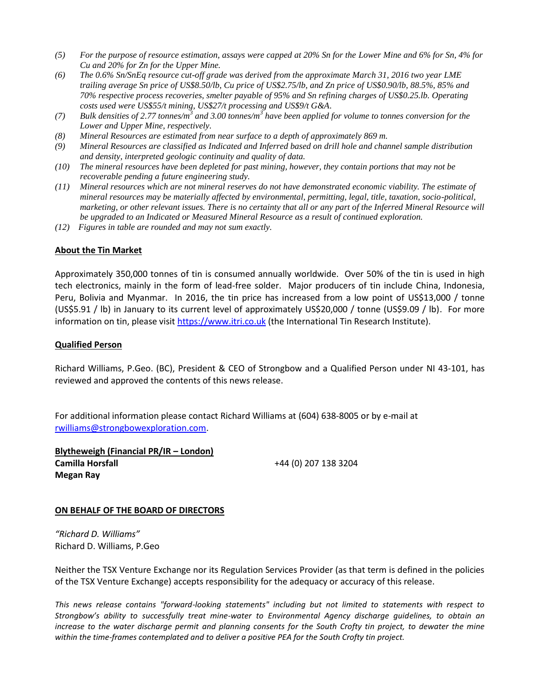- *(5) For the purpose of resource estimation, assays were capped at 20% Sn for the Lower Mine and 6% for Sn, 4% for Cu and 20% for Zn for the Upper Mine.*
- *(6) The 0.6% Sn/SnEq resource cut-off grade was derived from the approximate March 31, 2016 two year LME trailing average Sn price of US\$8.50/lb, Cu price of US\$2.75/lb, and Zn price of US\$0.90/lb, 88.5%, 85% and 70% respective process recoveries, smelter payable of 95% and Sn refining charges of US\$0.25.lb. Operating costs used were US\$55/t mining, US\$27/t processing and US\$9/t G&A.*
- *(7) Bulk densities of 2.77 tonnes/m<sup>3</sup> and 3.00 tonnes/m<sup>3</sup> have been applied for volume to tonnes conversion for the Lower and Upper Mine, respectively.*
- *(8) Mineral Resources are estimated from near surface to a depth of approximately 869 m.*
- *(9) Mineral Resources are classified as Indicated and Inferred based on drill hole and channel sample distribution and density, interpreted geologic continuity and quality of data.*
- *(10) The mineral resources have been depleted for past mining, however, they contain portions that may not be recoverable pending a future engineering study.*
- *(11) Mineral resources which are not mineral reserves do not have demonstrated economic viability. The estimate of mineral resources may be materially affected by environmental, permitting, legal, title, taxation, socio-political, marketing, or other relevant issues. There is no certainty that all or any part of the Inferred Mineral Resource will be upgraded to an Indicated or Measured Mineral Resource as a result of continued exploration.*
- *(12) Figures in table are rounded and may not sum exactly.*

### **About the Tin Market**

Approximately 350,000 tonnes of tin is consumed annually worldwide. Over 50% of the tin is used in high tech electronics, mainly in the form of lead-free solder. Major producers of tin include China, Indonesia, Peru, Bolivia and Myanmar. In 2016, the tin price has increased from a low point of US\$13,000 / tonne (US\$5.91 / lb) in January to its current level of approximately US\$20,000 / tonne (US\$9.09 / lb). For more information on tin, please visit [https://www.itri.co.uk](https://www.itri.co.uk/) (the International Tin Research Institute).

#### **Qualified Person**

Richard Williams, P.Geo. (BC), President & CEO of Strongbow and a Qualified Person under NI 43-101, has reviewed and approved the contents of this news release.

For additional information please contact Richard Williams at (604) 638-8005 or by e-mail at [rwilliams@strongbowexploration.com.](mailto:rwilliams@strongbowexploration.com)

**Blytheweigh (Financial PR/IR – London) Camilla Horsfall Megan Ray**

+44 (0) 207 138 3204

#### **ON BEHALF OF THE BOARD OF DIRECTORS**

*"Richard D. Williams"* Richard D. Williams, P.Geo

Neither the TSX Venture Exchange nor its Regulation Services Provider (as that term is defined in the policies of the TSX Venture Exchange) accepts responsibility for the adequacy or accuracy of this release.

*This news release contains "forward-looking statements" including but not limited to statements with respect to Strongbow's ability to successfully treat mine-water to Environmental Agency discharge guidelines, to obtain an increase to the water discharge permit and planning consents for the South Crofty tin project, to dewater the mine within the time-frames contemplated and to deliver a positive PEA for the South Crofty tin project.*